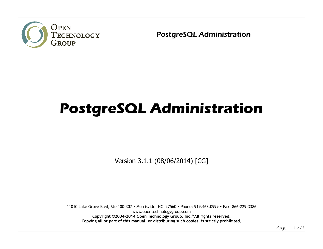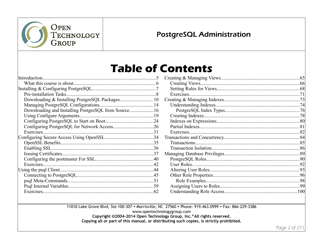

## **PostgreSQL Administration**

## **Table of Contents**

| Downloading and Installing PostgreSQL from Source 16 |  |
|------------------------------------------------------|--|
|                                                      |  |
|                                                      |  |
|                                                      |  |
|                                                      |  |
|                                                      |  |
|                                                      |  |
|                                                      |  |
|                                                      |  |
|                                                      |  |
| Exercises.                                           |  |
|                                                      |  |
|                                                      |  |
|                                                      |  |
|                                                      |  |
|                                                      |  |

11010 Lake Grove Blvd, Ste 100-307 • Morrisville, NC 27560 • Phone: 919.463.0999 • Fax: 866-229-3386

www.opentechnologygroup.com

Copyright ©2004-2014 Open Technology Group, Inc.® All rights reserved.

Copying all or part of this manual, or distributing such copies, is strictly prohibited.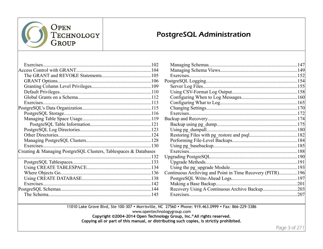

## **PostgreSQL Administration**

| Exercises                                                        |  |
|------------------------------------------------------------------|--|
|                                                                  |  |
|                                                                  |  |
|                                                                  |  |
|                                                                  |  |
|                                                                  |  |
|                                                                  |  |
|                                                                  |  |
|                                                                  |  |
|                                                                  |  |
|                                                                  |  |
|                                                                  |  |
|                                                                  |  |
|                                                                  |  |
|                                                                  |  |
|                                                                  |  |
| Creating & Managing PostgreSQL Clusters, Tablespaces & Databases |  |
|                                                                  |  |
|                                                                  |  |
|                                                                  |  |
|                                                                  |  |
|                                                                  |  |
|                                                                  |  |
|                                                                  |  |
|                                                                  |  |
|                                                                  |  |

| Continuous Archiving and Point in Time Recovery (PITR)196 |  |
|-----------------------------------------------------------|--|
|                                                           |  |
|                                                           |  |
|                                                           |  |
|                                                           |  |

11010 Lake Grove Blvd, Ste 100-307 • Morrisville, NC 27560 • Phone: 919.463.0999 • Fax: 866-229-3386

www.opentechnologygroup.com

Copyright ©2004-2014 Open Technology Group, Inc.® All rights reserved.

Copying all or part of this manual, or distributing such copies, is strictly prohibited.